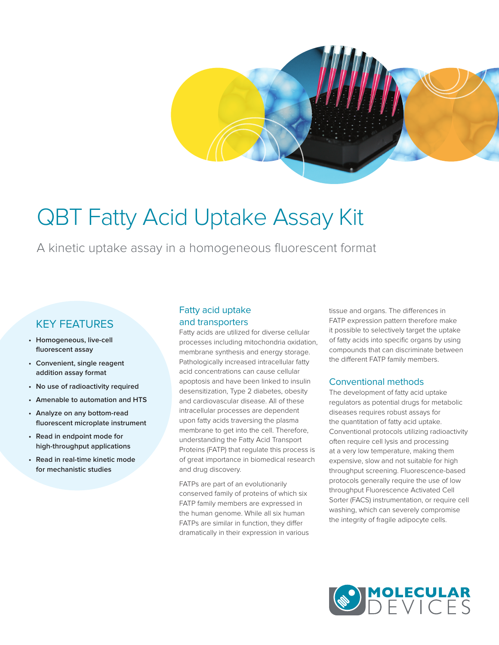# QBT Fatty Acid Uptake Assay Kit

A kinetic uptake assay in a homogeneous fluorescent format

# KEY FEATURES

- **• Homogeneous, live-cell fluorescent assay**
- **• Convenient, single reagent addition assay format**
- **• No use of radioactivity required**
- **• Amenable to automation and HTS**
- **• Analyze on any bottom-read fluorescent microplate instrument**
- **• Read in endpoint mode for high-throughput applications**
- **• Read in real-time kinetic mode for mechanistic studies**

# Fatty acid uptake and transporters

Fatty acids are utilized for diverse cellular processes including mitochondria oxidation, membrane synthesis and energy storage. Pathologically increased intracellular fatty acid concentrations can cause cellular apoptosis and have been linked to insulin desensitization, Type 2 diabetes, obesity and cardiovascular disease. All of these intracellular processes are dependent upon fatty acids traversing the plasma membrane to get into the cell. Therefore, understanding the Fatty Acid Transport Proteins (FATP) that regulate this process is of great importance in biomedical research and drug discovery.

FATPs are part of an evolutionarily conserved family of proteins of which six FATP family members are expressed in the human genome. While all six human FATPs are similar in function, they differ dramatically in their expression in various tissue and organs. The differences in FATP expression pattern therefore make it possible to selectively target the uptake of fatty acids into specific organs by using compounds that can discriminate between the different FATP family members.

## Conventional methods

The development of fatty acid uptake regulators as potential drugs for metabolic diseases requires robust assays for the quantitation of fatty acid uptake. Conventional protocols utilizing radioactivity often require cell lysis and processing at a very low temperature, making them expensive, slow and not suitable for high throughput screening. Fluorescence-based protocols generally require the use of low throughput Fluorescence Activated Cell Sorter (FACS) instrumentation, or require cell washing, which can severely compromise the integrity of fragile adipocyte cells.

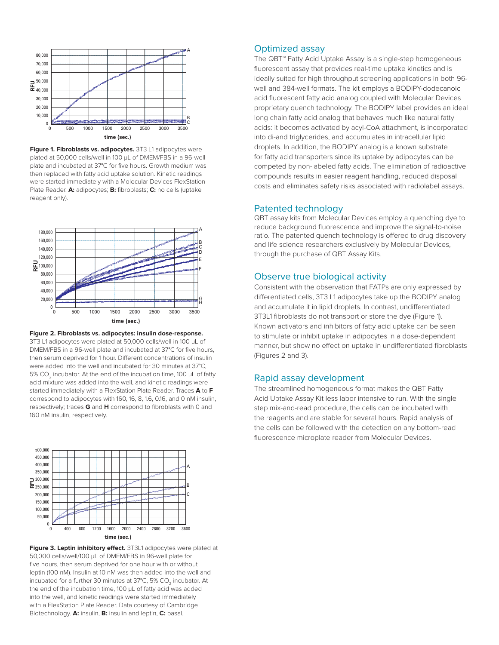

**Figure 1. Fibroblasts vs. adipocytes.** 3T3 L1 adipocytes were plated at 50,000 cells/well in 100 µL of DMEM/FBS in a 96-well plate and incubated at 37°C for five hours. Growth medium was then replaced with fatty acid uptake solution. Kinetic readings were started immediately with a Molecular Devices FlexStation Plate Reader. **A:** adipocytes; **B:** fibroblasts; **C:** no cells (uptake reagent only).



**Figure 2. Fibroblasts vs. adipocytes: insulin dose-response.**  3T3 L1 adipocytes were plated at 50,000 cells/well in 100 µL of DMEM/FBS in a 96-well plate and incubated at 37°C for five hours, then serum deprived for 1 hour. Different concentrations of insulin were added into the well and incubated for 30 minutes at 37°C, 5% CO<sub>2</sub> incubator. At the end of the incubation time, 100 µL of fatty acid mixture was added into the well, and kinetic readings were started immediately with a FlexStation Plate Reader. Traces **A** to **F** correspond to adipocytes with 160, 16, 8, 1.6, 0.16, and 0 nM insulin, respectively; traces **G** and **H** correspond to fibroblasts with 0 and 160 nM insulin, respectively.



**Figure 3. Leptin inhibitory effect.** 3T3L1 adipocytes were plated at 50,000 cells/well/100 µL of DMEM/FBS in 96-well plate for five hours, then serum deprived for one hour with or without leptin (100 nM). Insulin at 10 nM was then added into the well and incubated for a further 30 minutes at 37°C, 5% CO<sub>2</sub> incubator. At the end of the incubation time, 100 µL of fatty acid was added into the well, and kinetic readings were started immediately with a FlexStation Plate Reader. Data courtesy of Cambridge Biotechnology. **A:** insulin, **B:** insulin and leptin, **C:** basal.

## Optimized assay

The QBT™ Fatty Acid Uptake Assay is a single-step homogeneous fluorescent assay that provides real-time uptake kinetics and is ideally suited for high throughput screening applications in both 96 well and 384-well formats. The kit employs a BODIPY-dodecanoic acid fluorescent fatty acid analog coupled with Molecular Devices proprietary quench technology. The BODIPY label provides an ideal long chain fatty acid analog that behaves much like natural fatty acids: it becomes activated by acyl-CoA attachment, is incorporated into di-and triglycerides, and accumulates in intracellular lipid droplets. In addition, the BODIPY analog is a known substrate for fatty acid transporters since its uptake by adipocytes can be competed by non-labeled fatty acids. The elimination of radioactive compounds results in easier reagent handling, reduced disposal costs and eliminates safety risks associated with radiolabel assays.

#### Patented technology

QBT assay kits from Molecular Devices employ a quenching dye to reduce background fluorescence and improve the signal-to-noise ratio. The patented quench technology is offered to drug discovery and life science researchers exclusively by Molecular Devices, through the purchase of QBT Assay Kits.

## Observe true biological activity

Consistent with the observation that FATPs are only expressed by differentiated cells, 3T3 L1 adipocytes take up the BODIPY analog and accumulate it in lipid droplets. In contrast, undifferentiated 3T3L1 fibroblasts do not transport or store the dye (Figure 1). Known activators and inhibitors of fatty acid uptake can be seen to stimulate or inhibit uptake in adipocytes in a dose-dependent manner, but show no effect on uptake in undifferentiated fibroblasts (Figures 2 and 3).

## Rapid assay development

The streamlined homogeneous format makes the QBT Fatty Acid Uptake Assay Kit less labor intensive to run. With the single step mix-and-read procedure, the cells can be incubated with the reagents and are stable for several hours. Rapid analysis of the cells can be followed with the detection on any bottom-read fluorescence microplate reader from Molecular Devices.